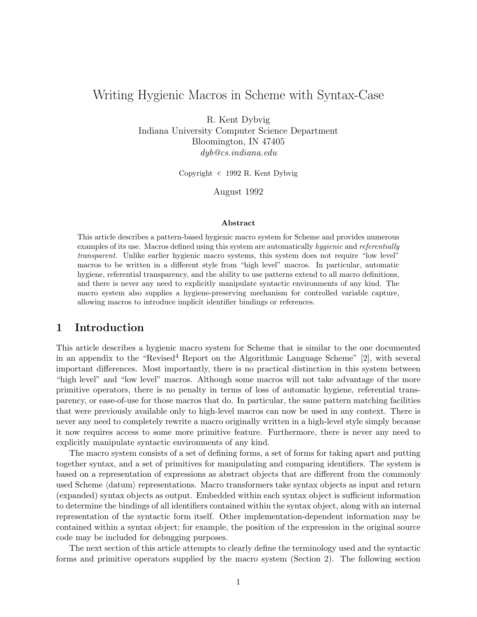# Writing Hygienic Macros in Scheme with Syntax-Case

R. Kent Dybvig Indiana University Computer Science Department Bloomington, IN 47405 dyb@cs.indiana.edu

Copyright c 1992 R. Kent Dybvig

August 1992

#### Abstract

This article describes a pattern-based hygienic macro system for Scheme and provides numerous examples of its use. Macros defined using this system are automatically hygienic and referentially transparent. Unlike earlier hygienic macro systems, this system does not require "low level" macros to be written in a different style from "high level" macros. In particular, automatic hygiene, referential transparency, and the ability to use patterns extend to all macro definitions, and there is never any need to explicitly manipulate syntactic environments of any kind. The macro system also supplies a hygiene-preserving mechanism for controlled variable capture, allowing macros to introduce implicit identifier bindings or references.

### 1 Introduction

This article describes a hygienic macro system for Scheme that is similar to the one documented in an appendix to the "Revised<sup>4</sup> Report on the Algorithmic Language Scheme" [2], with several important differences. Most importantly, there is no practical distinction in this system between "high level" and "low level" macros. Although some macros will not take advantage of the more primitive operators, there is no penalty in terms of loss of automatic hygiene, referential transparency, or ease-of-use for those macros that do. In particular, the same pattern matching facilities that were previously available only to high-level macros can now be used in any context. There is never any need to completely rewrite a macro originally written in a high-level style simply because it now requires access to some more primitive feature. Furthermore, there is never any need to explicitly manipulate syntactic environments of any kind.

The macro system consists of a set of defining forms, a set of forms for taking apart and putting together syntax, and a set of primitives for manipulating and comparing identifiers. The system is based on a representation of expressions as abstract objects that are different from the commonly used Scheme (datum) representations. Macro transformers take syntax objects as input and return (expanded) syntax objects as output. Embedded within each syntax object is sufficient information to determine the bindings of all identifiers contained within the syntax object, along with an internal representation of the syntactic form itself. Other implementation-dependent information may be contained within a syntax object; for example, the position of the expression in the original source code may be included for debugging purposes.

The next section of this article attempts to clearly define the terminology used and the syntactic forms and primitive operators supplied by the macro system (Section 2). The following section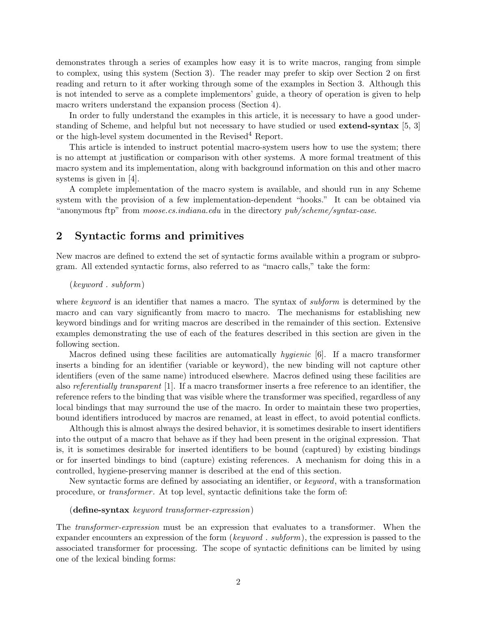demonstrates through a series of examples how easy it is to write macros, ranging from simple to complex, using this system (Section 3). The reader may prefer to skip over Section 2 on first reading and return to it after working through some of the examples in Section 3. Although this is not intended to serve as a complete implementors' guide, a theory of operation is given to help macro writers understand the expansion process (Section 4).

In order to fully understand the examples in this article, it is necessary to have a good understanding of Scheme, and helpful but not necessary to have studied or used extend-syntax [5, 3] or the high-level system documented in the Revised<sup>4</sup> Report.

This article is intended to instruct potential macro-system users how to use the system; there is no attempt at justification or comparison with other systems. A more formal treatment of this macro system and its implementation, along with background information on this and other macro systems is given in [4].

A complete implementation of the macro system is available, and should run in any Scheme system with the provision of a few implementation-dependent "hooks." It can be obtained via "anonymous ftp" from *moose.cs.indiana.edu* in the directory *pub/scheme/syntax-case.* 

### 2 Syntactic forms and primitives

New macros are defined to extend the set of syntactic forms available within a program or subprogram. All extended syntactic forms, also referred to as "macro calls," take the form:

### (keyword . subform)

where keyword is an identifier that names a macro. The syntax of *subform* is determined by the macro and can vary significantly from macro to macro. The mechanisms for establishing new keyword bindings and for writing macros are described in the remainder of this section. Extensive examples demonstrating the use of each of the features described in this section are given in the following section.

Macros defined using these facilities are automatically hygienic [6]. If a macro transformer inserts a binding for an identifier (variable or keyword), the new binding will not capture other identifiers (even of the same name) introduced elsewhere. Macros defined using these facilities are also referentially transparent [1]. If a macro transformer inserts a free reference to an identifier, the reference refers to the binding that was visible where the transformer was specified, regardless of any local bindings that may surround the use of the macro. In order to maintain these two properties, bound identifiers introduced by macros are renamed, at least in effect, to avoid potential conflicts.

Although this is almost always the desired behavior, it is sometimes desirable to insert identifiers into the output of a macro that behave as if they had been present in the original expression. That is, it is sometimes desirable for inserted identifiers to be bound (captured) by existing bindings or for inserted bindings to bind (capture) existing references. A mechanism for doing this in a controlled, hygiene-preserving manner is described at the end of this section.

New syntactic forms are defined by associating an identifier, or keyword, with a transformation procedure, or *transformer*. At top level, syntactic definitions take the form of:

#### (define-syntax keyword transformer-expression)

The transformer-expression must be an expression that evaluates to a transformer. When the expander encounters an expression of the form (keyword . subform), the expression is passed to the associated transformer for processing. The scope of syntactic definitions can be limited by using one of the lexical binding forms: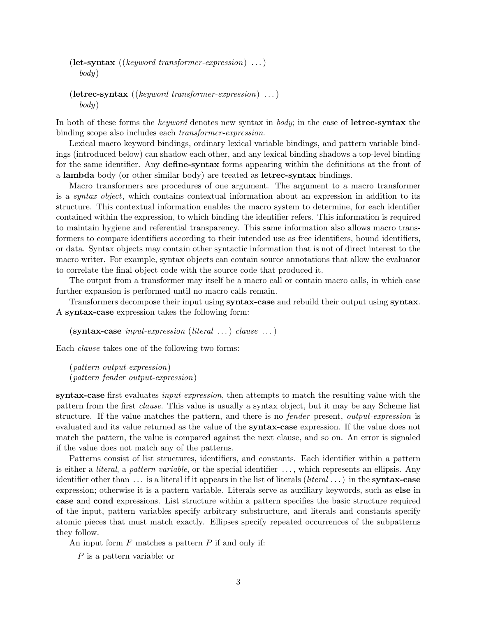$(\text{let-syntax} \ ((\text{keyword} \ transformer-expression) \ \dots))$ body)

```
(letrec-syntax ((keyword transformer-expression) \ldots)
  body)
```
In both of these forms the *keyword* denotes new syntax in *body*; in the case of **letrec-syntax** the binding scope also includes each transformer-expression.

Lexical macro keyword bindings, ordinary lexical variable bindings, and pattern variable bindings (introduced below) can shadow each other, and any lexical binding shadows a top-level binding for the same identifier. Any **define-syntax** forms appearing within the definitions at the front of a lambda body (or other similar body) are treated as letrec-syntax bindings.

Macro transformers are procedures of one argument. The argument to a macro transformer is a *syntax object*, which contains contextual information about an expression in addition to its structure. This contextual information enables the macro system to determine, for each identifier contained within the expression, to which binding the identifier refers. This information is required to maintain hygiene and referential transparency. This same information also allows macro transformers to compare identifiers according to their intended use as free identifiers, bound identifiers, or data. Syntax objects may contain other syntactic information that is not of direct interest to the macro writer. For example, syntax objects can contain source annotations that allow the evaluator to correlate the final object code with the source code that produced it.

The output from a transformer may itself be a macro call or contain macro calls, in which case further expansion is performed until no macro calls remain.

Transformers decompose their input using syntax-case and rebuild their output using syntax. A syntax-case expression takes the following form:

 $(\textbf{syntax-case } input\text{-}expression (literal \dots) clause \dots)$ 

Each clause takes one of the following two forms:

(pattern output-expression) (pattern fender output-expression)

syntax-case first evaluates *input-expression*, then attempts to match the resulting value with the pattern from the first clause. This value is usually a syntax object, but it may be any Scheme list structure. If the value matches the pattern, and there is no fender present, output-expression is evaluated and its value returned as the value of the syntax-case expression. If the value does not match the pattern, the value is compared against the next clause, and so on. An error is signaled if the value does not match any of the patterns.

Patterns consist of list structures, identifiers, and constants. Each identifier within a pattern is either a *literal*, a *pattern variable*, or the special identifier ..., which represents an ellipsis. Any identifier other than  $\dots$  is a literal if it appears in the list of literals (*literal*  $\dots$ ) in the **syntax-case** expression; otherwise it is a pattern variable. Literals serve as auxiliary keywords, such as else in case and cond expressions. List structure within a pattern specifies the basic structure required of the input, pattern variables specify arbitrary substructure, and literals and constants specify atomic pieces that must match exactly. Ellipses specify repeated occurrences of the subpatterns they follow.

An input form  $F$  matches a pattern  $P$  if and only if:

P is a pattern variable; or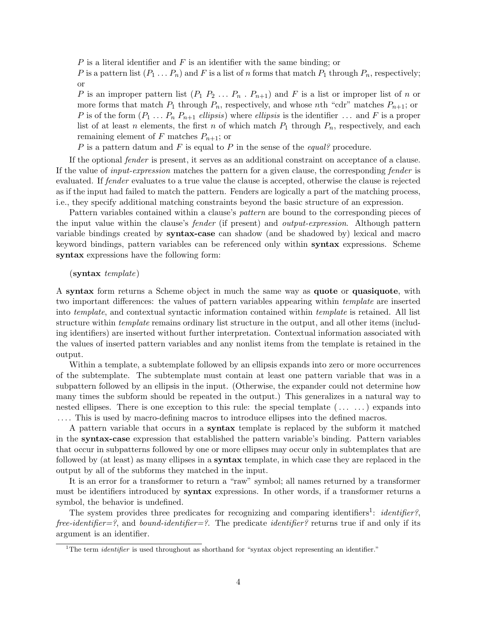P is a literal identifier and F is an identifier with the same binding; or

P is a pattern list  $(P_1 \ldots P_n)$  and F is a list of n forms that match  $P_1$  through  $P_n$ , respectively; or

P is an improper pattern list  $(P_1 P_2 ... P_n P_{n+1})$  and F is a list or improper list of n or more forms that match  $P_1$  through  $P_n$ , respectively, and whose nth "cdr" matches  $P_{n+1}$ ; or P is of the form  $(P_1 \ldots P_n P_{n+1}$  ellipsis) where ellipsis is the identifier  $\ldots$  and F is a proper list of at least n elements, the first n of which match  $P_1$  through  $P_n$ , respectively, and each remaining element of F matches  $P_{n+1}$ ; or

P is a pattern datum and F is equal to P in the sense of the equal? procedure.

If the optional fender is present, it serves as an additional constraint on acceptance of a clause. If the value of input-expression matches the pattern for a given clause, the corresponding fender is evaluated. If fender evaluates to a true value the clause is accepted, otherwise the clause is rejected as if the input had failed to match the pattern. Fenders are logically a part of the matching process, i.e., they specify additional matching constraints beyond the basic structure of an expression.

Pattern variables contained within a clause's *pattern* are bound to the corresponding pieces of the input value within the clause's fender (if present) and output-expression. Although pattern variable bindings created by syntax-case can shadow (and be shadowed by) lexical and macro keyword bindings, pattern variables can be referenced only within syntax expressions. Scheme syntax expressions have the following form:

### (syntax template)

A syntax form returns a Scheme object in much the same way as quote or quasiquote, with two important differences: the values of pattern variables appearing within template are inserted into *template*, and contextual syntactic information contained within *template* is retained. All list structure within template remains ordinary list structure in the output, and all other items (including identifiers) are inserted without further interpretation. Contextual information associated with the values of inserted pattern variables and any nonlist items from the template is retained in the output.

Within a template, a subtemplate followed by an ellipsis expands into zero or more occurrences of the subtemplate. The subtemplate must contain at least one pattern variable that was in a subpattern followed by an ellipsis in the input. (Otherwise, the expander could not determine how many times the subform should be repeated in the output.) This generalizes in a natural way to nested ellipses. There is one exception to this rule: the special template (. . . . . .) expands into . . . . This is used by macro-defining macros to introduce ellipses into the defined macros.

A pattern variable that occurs in a syntax template is replaced by the subform it matched in the syntax-case expression that established the pattern variable's binding. Pattern variables that occur in subpatterns followed by one or more ellipses may occur only in subtemplates that are followed by (at least) as many ellipses in a syntax template, in which case they are replaced in the output by all of the subforms they matched in the input.

It is an error for a transformer to return a "raw" symbol; all names returned by a transformer must be identifiers introduced by syntax expressions. In other words, if a transformer returns a symbol, the behavior is undefined.

The system provides three predicates for recognizing and comparing identifiers<sup>1</sup>: *identifier?*, free-identifier=?, and bound-identifier=?. The predicate identifier? returns true if and only if its argument is an identifier.

<sup>&</sup>lt;sup>1</sup>The term *identifier* is used throughout as shorthand for "syntax object representing an identifier."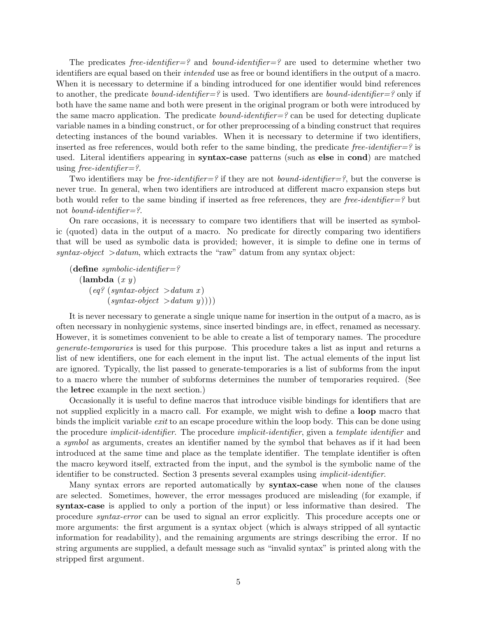The predicates free-identifier=? and bound-identifier=? are used to determine whether two identifiers are equal based on their intended use as free or bound identifiers in the output of a macro. When it is necessary to determine if a binding introduced for one identifier would bind references to another, the predicate *bound-identifier*=? is used. Two identifiers are *bound-identifier*=? only if both have the same name and both were present in the original program or both were introduced by the same macro application. The predicate *bound-identifier*= $\frac{1}{2}$  can be used for detecting duplicate variable names in a binding construct, or for other preprocessing of a binding construct that requires detecting instances of the bound variables. When it is necessary to determine if two identifiers, inserted as free references, would both refer to the same binding, the predicate free-identifier=? is used. Literal identifiers appearing in syntax-case patterns (such as else in cond) are matched using free-identifier=?.

Two identifiers may be *free-identifier*=? if they are not *bound-identifier*=?, but the converse is never true. In general, when two identifiers are introduced at different macro expansion steps but both would refer to the same binding if inserted as free references, they are free-identifier=? but not *bound-identifier=?*.

On rare occasions, it is necessary to compare two identifiers that will be inserted as symbolic (quoted) data in the output of a macro. No predicate for directly comparing two identifiers that will be used as symbolic data is provided; however, it is simple to define one in terms of  $syntax-object >datum$ , which extracts the "raw" datum from any syntax object:

 $(define \ symbolic-identifier=?$  $(\text{lambda } (x y))$  $\text{e}q?$  (syntax-object  $\text{e}$  > datum x)  $(syntax-object > datum y)))$ 

It is never necessary to generate a single unique name for insertion in the output of a macro, as is often necessary in nonhygienic systems, since inserted bindings are, in effect, renamed as necessary. However, it is sometimes convenient to be able to create a list of temporary names. The procedure generate-temporaries is used for this purpose. This procedure takes a list as input and returns a list of new identifiers, one for each element in the input list. The actual elements of the input list are ignored. Typically, the list passed to generate-temporaries is a list of subforms from the input to a macro where the number of subforms determines the number of temporaries required. (See the letrec example in the next section.)

Occasionally it is useful to define macros that introduce visible bindings for identifiers that are not supplied explicitly in a macro call. For example, we might wish to define a loop macro that binds the implicit variable exit to an escape procedure within the loop body. This can be done using the procedure *implicit-identifier*. The procedure *implicit-identifier*, given a *template identifier* and a symbol as arguments, creates an identifier named by the symbol that behaves as if it had been introduced at the same time and place as the template identifier. The template identifier is often the macro keyword itself, extracted from the input, and the symbol is the symbolic name of the identifier to be constructed. Section 3 presents several examples using implicit-identifier.

Many syntax errors are reported automatically by syntax-case when none of the clauses are selected. Sometimes, however, the error messages produced are misleading (for example, if syntax-case is applied to only a portion of the input) or less informative than desired. The procedure syntax-error can be used to signal an error explicitly. This procedure accepts one or more arguments: the first argument is a syntax object (which is always stripped of all syntactic information for readability), and the remaining arguments are strings describing the error. If no string arguments are supplied, a default message such as "invalid syntax" is printed along with the stripped first argument.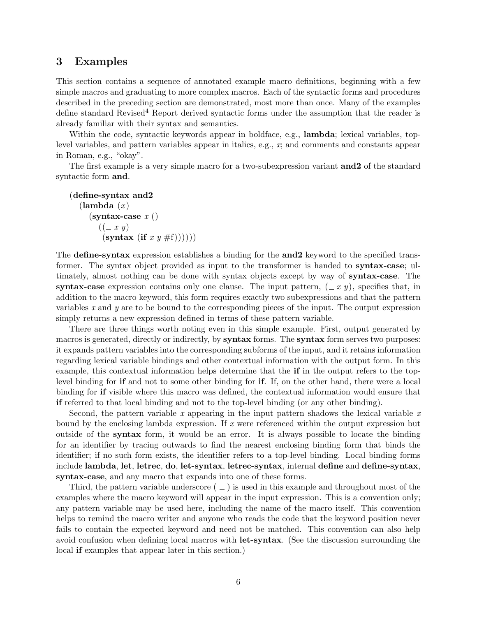### 3 Examples

This section contains a sequence of annotated example macro definitions, beginning with a few simple macros and graduating to more complex macros. Each of the syntactic forms and procedures described in the preceding section are demonstrated, most more than once. Many of the examples define standard Revised<sup>4</sup> Report derived syntactic forms under the assumption that the reader is already familiar with their syntax and semantics.

Within the code, syntactic keywords appear in boldface, e.g., **lambda**; lexical variables, toplevel variables, and pattern variables appear in italics, e.g., x; and comments and constants appear in Roman, e.g., "okay".

The first example is a very simple macro for a two-subexpression variant **and2** of the standard syntactic form and.

```
(define-syntax and2
  (\text{lambda } (x))(syntax-case x()((-x y))(syntax (if x y \#f))))))
```
The **define-syntax** expression establishes a binding for the **and2** keyword to the specified transformer. The syntax object provided as input to the transformer is handed to syntax-case; ultimately, almost nothing can be done with syntax objects except by way of syntax-case. The syntax-case expression contains only one clause. The input pattern,  $(-x, y)$ , specifies that, in addition to the macro keyword, this form requires exactly two subexpressions and that the pattern variables x and y are to be bound to the corresponding pieces of the input. The output expression simply returns a new expression defined in terms of these pattern variable.

There are three things worth noting even in this simple example. First, output generated by macros is generated, directly or indirectly, by **syntax** forms. The **syntax** form serves two purposes: it expands pattern variables into the corresponding subforms of the input, and it retains information regarding lexical variable bindings and other contextual information with the output form. In this example, this contextual information helps determine that the if in the output refers to the toplevel binding for if and not to some other binding for if. If, on the other hand, there were a local binding for if visible where this macro was defined, the contextual information would ensure that if referred to that local binding and not to the top-level binding (or any other binding).

Second, the pattern variable x appearing in the input pattern shadows the lexical variable  $x$ bound by the enclosing lambda expression. If x were referenced within the output expression but outside of the syntax form, it would be an error. It is always possible to locate the binding for an identifier by tracing outwards to find the nearest enclosing binding form that binds the identifier; if no such form exists, the identifier refers to a top-level binding. Local binding forms include lambda, let, letrec, do, let-syntax, letrec-syntax, internal define and define-syntax, syntax-case, and any macro that expands into one of these forms.

Third, the pattern variable underscore  $($   $)$  is used in this example and throughout most of the examples where the macro keyword will appear in the input expression. This is a convention only; any pattern variable may be used here, including the name of the macro itself. This convention helps to remind the macro writer and anyone who reads the code that the keyword position never fails to contain the expected keyword and need not be matched. This convention can also help avoid confusion when defining local macros with let-syntax. (See the discussion surrounding the local if examples that appear later in this section.)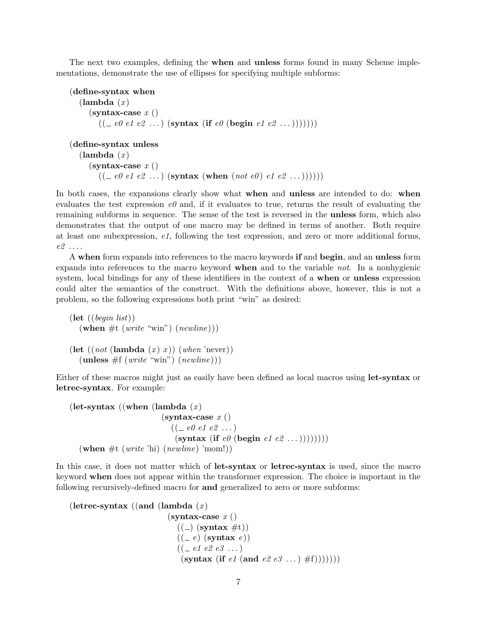The next two examples, defining the when and unless forms found in many Scheme implementations, demonstrate the use of ellipses for specifying multiple subforms:

```
(define-syntax when
    (\text{lambda } (x))(syntax-case x()((\text{– } e0 \text{ } e1 \text{ } e2 \text{ } \dots) \text{ (syntax (if } e0 \text{ (begin } e1 \text{ } e2 \text{ } \dots))))))
```

```
(define-syntax unless
   (\text{lambda } (x))(syntax-case x()((\text{e0 }e1 \text{ }e2 \text{ } \ldots) \text{ (syntax (when } (not \text{ }e0) \text{ }e1 \text{ }e2 \text{ } \ldots))))
```
In both cases, the expansions clearly show what **when** and **unless** are intended to do: when evaluates the test expression  $e_0$  and, if it evaluates to true, returns the result of evaluating the remaining subforms in sequence. The sense of the test is reversed in the unless form, which also demonstrates that the output of one macro may be defined in terms of another. Both require at least one subexpression, e1, following the test expression, and zero or more additional forms,  $e2 \ldots$ 

A when form expands into references to the macro keywords if and begin, and an unless form expands into references to the macro keyword when and to the variable not. In a nonhygienic system, local bindings for any of these identifiers in the context of a when or unless expression could alter the semantics of the construct. With the definitions above, however, this is not a problem, so the following expressions both print "win" as desired:

```
(\text{let } ((begin list))(when \#t (write "win") (newline)))
(let ((not (lambda (x) x)) (when 'never)))
  (\text{unless } #f(write "win") (newline)))
```
Either of these macros might just as easily have been defined as local macros using let-syntax or letrec-syntax. For example:

```
(let-syntax ((when (lambda (x))
                                            (syntax-case x()((\textcolor{red}{\mathcal{L}} \textcolor{red}{\textit{e0}} \textcolor{red}{\textit{e1}} \textcolor{red}{\textit{e2}} \textcolor{red}{\textbf \dots})(syntax (if e\theta (begin e1 e2 ... ))))))))
    (when \#t (write 'hi) (newline) 'mom!))
```
In this case, it does not matter which of let-syntax or letrec-syntax is used, since the macro keyword when does not appear within the transformer expression. The choice is important in the following recursively-defined macro for and generalized to zero or more subforms:

```
(letrec-syntax ((and (lambda (x)(syntax-case x()((\_) (syntax #t))
                                 ((-e) (syntax e))
                                 ((\text{--} e1 \text{ } e2 \text{ } e3 \text{ } \dots))(syntax (if e1 (and e2 e3 ...) #f)))))))
```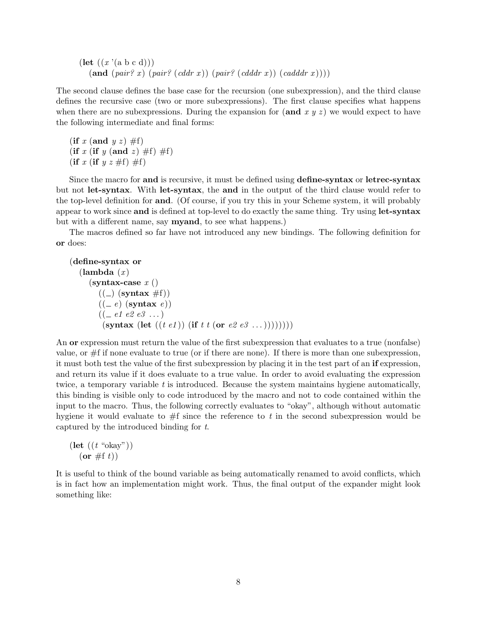$(\text{let } ((x \text{ '}(a b c d)))$  $(\text{and } (pair? x) (pair? (cddr x)) (pair? (cdddr x)) (cadddr x))))$ 

The second clause defines the base case for the recursion (one subexpression), and the third clause defines the recursive case (two or more subexpressions). The first clause specifies what happens when there are no subexpressions. During the expansion for  $(\text{and } x, y, z)$  we would expect to have the following intermediate and final forms:

(if x (and  $y z$ )  $\#f$ ) (if x (if y (and z)  $\#f$ )  $\#f$ ) (if x (if  $y \thinspace z \thinspace \#f$ )  $\#f$ )

Since the macro for and is recursive, it must be defined using define-syntax or letrec-syntax but not let-syntax. With let-syntax, the and in the output of the third clause would refer to the top-level definition for and. (Of course, if you try this in your Scheme system, it will probably appear to work since and is defined at top-level to do exactly the same thing. Try using let-syntax but with a different name, say myand, to see what happens.)

The macros defined so far have not introduced any new bindings. The following definition for or does:

```
(define-syntax or
   (\text{lambda } (x))(syntax-case x()((\_) (syntax \#f))
         ((e) (syntax e))
         ((\text{=} e1 \text{ } e2 \text{ } e3 \text{ } \dots))(syntax (let ((t \tildes t)) (if t t (or e2 e3 ...)))))))))
```
An or expression must return the value of the first subexpression that evaluates to a true (nonfalse) value, or #f if none evaluate to true (or if there are none). If there is more than one subexpression, it must both test the value of the first subexpression by placing it in the test part of an if expression, and return its value if it does evaluate to a true value. In order to avoid evaluating the expression twice, a temporary variable  $t$  is introduced. Because the system maintains hygiene automatically, this binding is visible only to code introduced by the macro and not to code contained within the input to the macro. Thus, the following correctly evaluates to "okay", although without automatic hygiene it would evaluate to  $#f$  since the reference to t in the second subexpression would be captured by the introduced binding for t.

 $(\text{let } ((t \text{ "okay"))})$  $(or \#f t))$ 

It is useful to think of the bound variable as being automatically renamed to avoid conflicts, which is in fact how an implementation might work. Thus, the final output of the expander might look something like: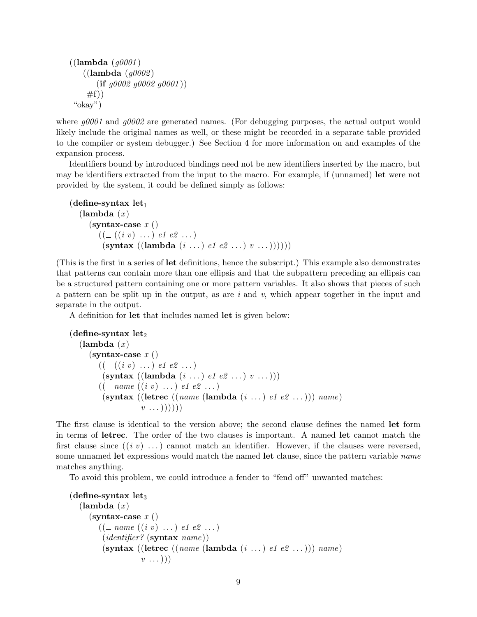```
((\textbf{lambda} (g0001)))((lambda (g0002))(i\mathbf{f} q0002 q0002 q0001)#f)"okay")
```
where  $g0001$  and  $g0002$  are generated names. (For debugging purposes, the actual output would likely include the original names as well, or these might be recorded in a separate table provided to the compiler or system debugger.) See Section 4 for more information on and examples of the expansion process.

Identifiers bound by introduced bindings need not be new identifiers inserted by the macro, but may be identifiers extracted from the input to the macro. For example, if (unnamed) let were not provided by the system, it could be defined simply as follows:

```
(define-syntax \mathrm{let}_1(\text{lambda } (x))(syntax-case x()((\_((i \ v) \dots) \ e1 \ e2 \dots))(\text{syntax} ((\text{lambda} (i ...), \text{el} \text{ e2} ...), v ...))))))
```
(This is the first in a series of let definitions, hence the subscript.) This example also demonstrates that patterns can contain more than one ellipsis and that the subpattern preceding an ellipsis can be a structured pattern containing one or more pattern variables. It also shows that pieces of such a pattern can be split up in the output, as are  $i$  and  $v$ , which appear together in the input and separate in the output.

A definition for let that includes named let is given below:

```
(define-syntax let_2(\text{lambda } (x))(syntax-case x()((\_((i \ v) \dots) \ e1 \ e2 \dots))(\text{syntax } ((\text{lambda } (i \dots) \text{ el } e2 \dots) v \dots)))(( \_ \; name \; ((i \; v) \; \ldots) \; e1 \; e2 \; \ldots))(syntax ((letrec ((name (lambda (i ... ) e1 e2 ...))) name)v \ldots))))
```
The first clause is identical to the version above; the second clause defines the named let form in terms of letrec. The order of the two clauses is important. A named let cannot match the first clause since  $((i \, v) \, \dots)$  cannot match an identifier. However, if the clauses were reversed, some unnamed let expressions would match the named let clause, since the pattern variable *name* matches anything.

To avoid this problem, we could introduce a fender to "fend off" unwanted matches:

```
(define-syntax let_3(\text{lambda } (x))(syntax-case x()(( \_ name ((i v) \dots ) e1 e2 \dots )(identifier? (syntax name))
        (syntax ((letrec ((name (lambda (i ... ) e1 e2 ...))) name)v \ldots))
```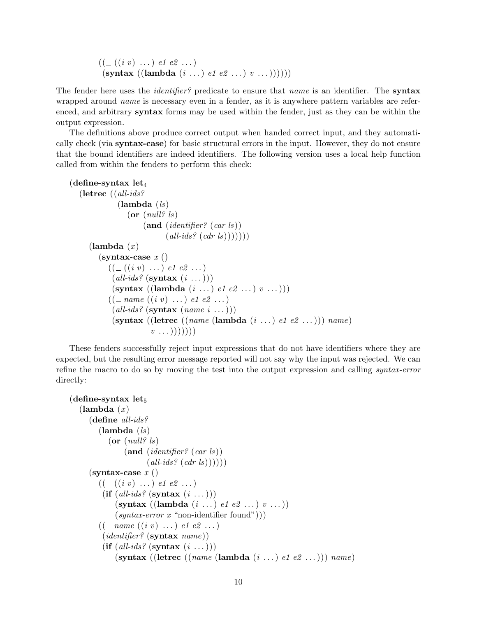$((\_((i \ v) \dots) \ e1 \ e2 \dots))$  $(\text{syntax} ((\text{lambda} (i ...), \text{el} \text{ e2} ...), v ...))))))$ 

The fender here uses the *identifier?* predicate to ensure that *name* is an identifier. The **syntax** wrapped around *name* is necessary even in a fender, as it is anywhere pattern variables are referenced, and arbitrary **syntax** forms may be used within the fender, just as they can be within the output expression.

The definitions above produce correct output when handed correct input, and they automatically check (via syntax-case) for basic structural errors in the input. However, they do not ensure that the bound identifiers are indeed identifiers. The following version uses a local help function called from within the fenders to perform this check:

```
(define-syntax \mathrm{let}_4(letrec ((all-ids?
               (lambda (ls))(or (null? \text{ls})(and (identifier? (car ls))(all\n-ids? (cdr ls))))))(\textbf{lambda}(x))(syntax-case x()((\_((i \; v) \; \ldots) \; e1 \; e2 \; \ldots))\text{(all-ids? (syntax (i ...)))}(\text{syntax } ((\text{lambda } (i \dots) \text{ el } e2 \dots) v \dots)))(( \_ \; name \; ((i \; v) \; \ldots) \; e1 \; e2 \; \ldots))\text{(all-ids? (syntax (name i ...)))}(syntax ((letrec ((name (lambda (i ... )el e2 ...))) name)v \ldots))))))
```
These fenders successfully reject input expressions that do not have identifiers where they are expected, but the resulting error message reported will not say why the input was rejected. We can refine the macro to do so by moving the test into the output expression and calling syntax-error directly:

```
(define-syntax let_5(\text{lambda } (x))(define all-ids?
         (lambda (ls)(or (null? \text{ls})(and (identifier? (car l<sub>s</sub>))\left(\text{all-ids? } (\text{cdr ls})))\right))(syntax-case x()((\_((i \ v) \dots) \ e1 \ e2 \dots))(if \text{(all-ids? (syntax (i ...)))}(\text{syntax} ((\text{lambda} (i \dots) e1 e2 \dots) v \dots))(syntax-error x "non-identifier found"))(( \_ \; name \; ((i \; v) \; \ldots) \; e1 \; e2 \; \ldots))(identifier? (syntax name))
          (if (all-ids? (syntax (i ...)))(syntax ((letrec ((name (lambda (i ... )el e2 ...))) name)
```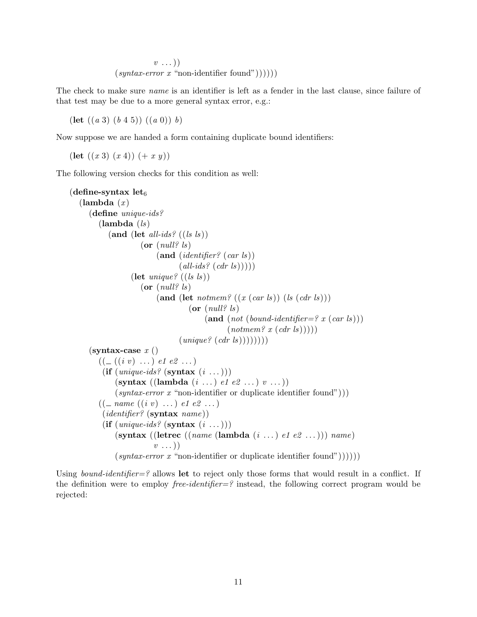$v \ldots$ )  $(syntax-error x "non-identifier found")))))$ 

The check to make sure *name* is an identifier is left as a fender in the last clause, since failure of that test may be due to a more general syntax error, e.g.:

(let  $((a 3) (b 4 5)) ((a 0)) b)$ 

Now suppose we are handed a form containing duplicate bound identifiers:

 $(\text{let } ((x 3) (x 4)) (+ x y))$ 

The following version checks for this condition as well:

```
(define-syntax let_6(\text{lambda } (x))(define unique-ids?
         (lambda (ls))(and (let all-ids? ((ls \, ls))(or (null? \text{ls})(and (identifier? (car l<sub>s</sub>))(all\n-ids? (cdrls))))(let unique? ((ls \; ls)))
                        (or (null? \text{ls})(\text{and } (\text{let } \textit{notmem? } ((x (car \textit{ls})) \text{ } (ls (cdr \textit{ls})))(or (null? \text{ls})(\text{and } (not (bound-identifier=? x (car ls)))(\textit{notmem? } x \text{ } (\textit{cdr ls})))(\textit{unique? } (\textit{cdr is}))))))))(syntax-case x()((\_((i \ v) \dots) \ e1 \ e2 \dots))(if (unique-ids? (syntax (i \dots)))
               (\text{syntax} ((\text{lambda} (i \dots) e1 e2 \dots) v \dots))(syntax-error x "non-identifier or duplicate identifier found")))
         (( \_ \; name \; ((i \; v) \; \ldots) \; e1 \; e2 \; \ldots))(identifier? (syntax name))
          (if (unique-ids? (syntax (i \dots)))
               (\text{syntax} ((\text{letrec} ((name (\text{lambda } (i ...), e1 e2 ...))) name))v \ldots)(syntax-error x "non-identifier or duplicate identifier found"))))
```
Using *bound-identifier*=? allows let to reject only those forms that would result in a conflict. If the definition were to employ *free-identifier*=? instead, the following correct program would be rejected: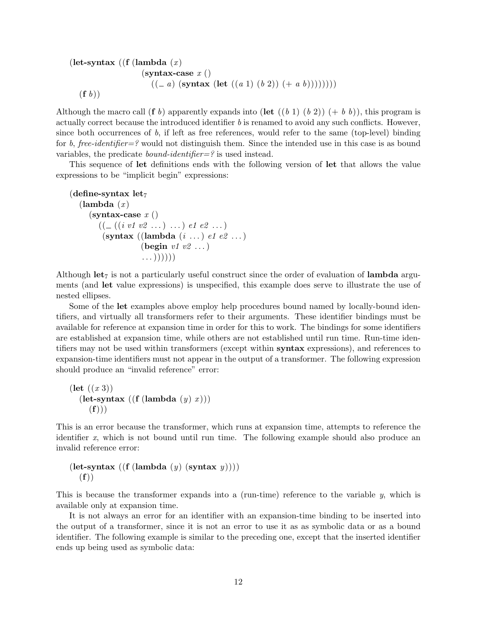```
(let-syntax ((f (lambda(x), y)))(syntax-case x()((- a) (syntax (let ((a 1) (b 2)) (+ a b))))))))(f b))
```
Although the macro call (f b) apparently expands into (let  $((b 1) (b 2)) (+ b b)$ ), this program is actually correct because the introduced identifier b is renamed to avoid any such conflicts. However, since both occurrences of  $b$ , if left as free references, would refer to the same (top-level) binding for b, free-identifier=? would not distinguish them. Since the intended use in this case is as bound variables, the predicate bound-identifier=? is used instead.

This sequence of let definitions ends with the following version of let that allows the value expressions to be "implicit begin" expressions:

```
(define-syntax let<sub>7</sub>
   (\text{lambda } (x))(syntax-case x()((\_ ((i \; v1 \; v2 \; \ldots) \; \ldots) \; e1 \; e2 \; \ldots))(syntax ((lambda (i \ldots) e1 e2 \ldots)
                         (begin v1 v2 \dots)
                         \ldots))))))
```
Although let<sub>7</sub> is not a particularly useful construct since the order of evaluation of **lambda** arguments (and let value expressions) is unspecified, this example does serve to illustrate the use of nested ellipses.

Some of the let examples above employ help procedures bound named by locally-bound identifiers, and virtually all transformers refer to their arguments. These identifier bindings must be available for reference at expansion time in order for this to work. The bindings for some identifiers are established at expansion time, while others are not established until run time. Run-time identifiers may not be used within transformers (except within syntax expressions), and references to expansion-time identifiers must not appear in the output of a transformer. The following expression should produce an "invalid reference" error:

```
(\text{let } ((x 3)))(\text{let-syntax } ((\text{f } (\text{lambda } (y) x)))(f))
```
This is an error because the transformer, which runs at expansion time, attempts to reference the identifier x, which is not bound until run time. The following example should also produce an invalid reference error:

```
(let-syntax ((f (lambda (y) (syst))))(f))
```
This is because the transformer expands into a (run-time) reference to the variable  $y$ , which is available only at expansion time.

It is not always an error for an identifier with an expansion-time binding to be inserted into the output of a transformer, since it is not an error to use it as as symbolic data or as a bound identifier. The following example is similar to the preceding one, except that the inserted identifier ends up being used as symbolic data: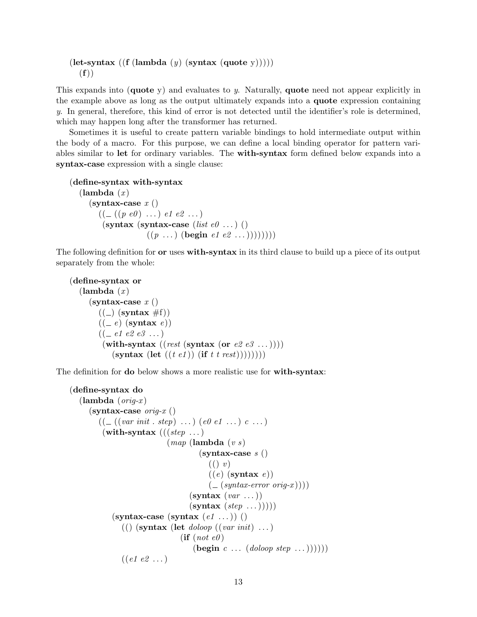```
(\text{let-syntax } ((\text{f } (\text{lambda } (y) \text{ (syntax } (\text{quote } y))))))(f))
```
This expands into (quote y) and evaluates to y. Naturally, quote need not appear explicitly in the example above as long as the output ultimately expands into a quote expression containing y. In general, therefore, this kind of error is not detected until the identifier's role is determined, which may happen long after the transformer has returned.

Sometimes it is useful to create pattern variable bindings to hold intermediate output within the body of a macro. For this purpose, we can define a local binding operator for pattern variables similar to let for ordinary variables. The with-syntax form defined below expands into a syntax-case expression with a single clause:

```
(define-syntax with-syntax
```

```
(\text{lambda } (x))(syntax-case x()((\_ ((p \ e0) \ \ldots) \ e1 \ e2 \ \ldots))(syntax (syntax-case (list e0 ...) ()
                    ((p \dots) (begin e1 e2 ...)))))))))
```
The following definition for **or** uses **with-syntax** in its third clause to build up a piece of its output separately from the whole:

```
(define-syntax or
   (\text{lambda } (x))(syntax-case x()((\_) (syntax #f))
         ((-e) (syntax e))
         ((\text{=} e1 \text{ } e2 \text{ } e3 \text{ } \dots))(with-syntax ((rest (syst) \text{ or } e2 \text{ } e3 \text{ } ...))))
              (syntax (let ((t \t e1)) (if t t rest)))))))))
```
The definition for **do** below shows a more realistic use for **with-syntax**:

```
(define-syntax do
   (\textbf{lambda} (orig-x))(syntax-case <i>orig-x</i>)((\_ ((var init . step) ... ) (e0 e1 ... ) c ...))(with-syntax (((step \dots))(map \; (lambda \; (v \; s))(syntax-case s()((\) v)((e) (syntax e))
                                                   \left( \begin{array}{c} \frac{-}{2} \left( \frac{-\frac{1}{2}}{\sinh(x - \text{error } \text{orig-}x)} \right) \end{array} \right)(s\textbf{yntax} (var ...))(syntax (step ...)))(syntax-case (syntax (e1 ...)))(() (syntax (let doloop ((var init) \dots)
                                        (\textbf{if} (not \text{ } e\theta))(\text{begin } c \ldots (doloop step \ldots))))((e1 e2 ...))
```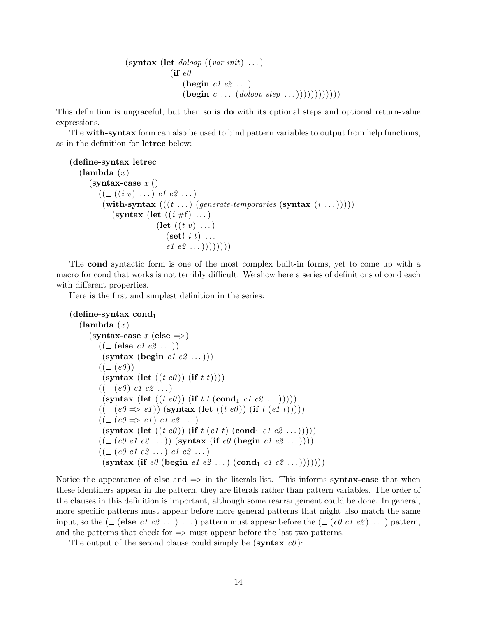```
(\textbf{symbax} \; (\textbf{let } \; \textit{doloop} \; ((\textit{var init}) \; \dots))(if e0(begin e1 e2 \dots)
                        (\text{begin } c \ldots (doloop step \ldots))))))))))))
```
This definition is ungraceful, but then so is do with its optional steps and optional return-value expressions.

The with-syntax form can also be used to bind pattern variables to output from help functions, as in the definition for letrec below:

```
(define-syntax letrec
   (\text{lambda}(x))(syntax-case x()((\_ ((i \; v) \; \dots) \; e1 \; e2 \; \dots))(with-syntax ((t \dots) (generate-temporaries (syntax (i \dots)))))
             (syntax (let ((i \# f) \dots)(let ((t v) \dots)(\textbf{set!} \; i \; t) \; \dotse1 e2 ...))))))))
```
The cond syntactic form is one of the most complex built-in forms, yet to come up with a macro for cond that works is not terribly difficult. We show here a series of definitions of cond each with different properties.

Here is the first and simplest definition in the series:

```
(define-syntax cond<sub>1</sub>)
    (\textbf{lambda}(x))(syntax-case x (else <sup>></sup>))((\_ (else e1 e2 ...))
               (syntax (begin e1 e2 ...)))
             ((- (e0))(syntax (let ((t \, e0)) (if t \, t))))
             ((\_ (e0) \text{ c1 } c2 \dots))(syntax (let ((t \, e0)) (if t t (cond<sub>1</sub> c1 c2 ...)))))
             ((\textcolor{red}{\mathcal{L}}(e0 \Rightarrow e1)) (syntax (let ((t \, e0)) (if t \, (e1 \, t))))
             ((\textcolor{red}{\mathcal{L}} (e0 \Rightarrow e1) \textcolor{red}{c1} \textcolor{red}{c2} \textcolor{red}{\ldots})(syntax (let ((t \, e0)) (if t \, (e1 \, t) (cond<sub>1</sub> c1 c2 ...)))))
             ((\textcolor{red}{\mathcal{L}} (e0 \textcolor{red}{e1} \textcolor{red}{e2} \textcolor{red}{...})) (\textbf{symbax} (\textbf{if} \textcolor{red}{e0} (\textbf{begin} \textcolor{red}{e1} \textcolor{red}{e2} \textcolor{red}{...})))((\_ (e0 \ e1 \ e2 \ \ldots) \ c1 \ c2 \ \ldots))(syntax (if e0 (begin e1 e2 ...) (cond<sub>1</sub> c1 c2 ...))))))))
```
Notice the appearance of else and  $\Rightarrow$  in the literals list. This informs syntax-case that when these identifiers appear in the pattern, they are literals rather than pattern variables. The order of the clauses in this definition is important, although some rearrangement could be done. In general, more specific patterns must appear before more general patterns that might also match the same input, so the  $(\_$  (else *e1 e2* ...) ...) pattern must appear before the  $(\_$  (*e0 e1 e2*) ...) pattern, and the patterns that check for  $\Rightarrow$  must appear before the last two patterns.

The output of the second clause could simply be (syntax  $e\theta$ ):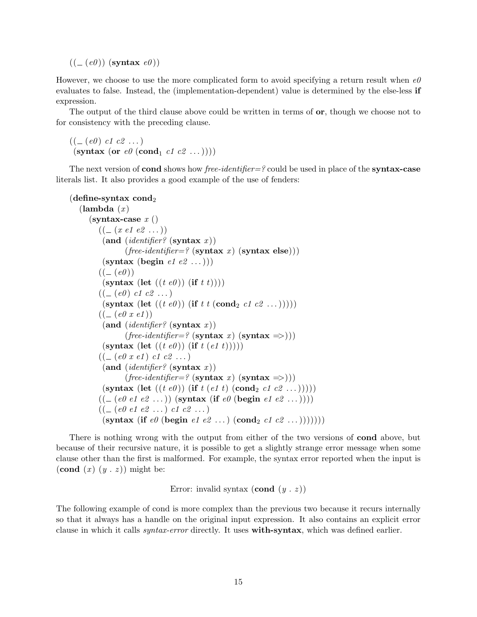$((\underline{\hspace{1cm}} (e0))$  (syntax  $e0)$ )

However, we choose to use the more complicated form to avoid specifying a return result when  $e\theta$ evaluates to false. Instead, the (implementation-dependent) value is determined by the else-less if expression.

The output of the third clause above could be written in terms of **or**, though we choose not to for consistency with the preceding clause.

```
((\_ (e0) \text{ c1 } c2 \dots))(syntax (or e\theta (cond<sub>1</sub> c1 c2 ...))))
```
The next version of **cond** shows how free-identifier=? could be used in place of the **syntax-case** literals list. It also provides a good example of the use of fenders:

```
(define-syntax cond<sub>2</sub>)
   (\text{lambda } (x))(syntax-case x()((\_ (x \ e1 \ e2 \ \ldots))(and (identifier? (syntax x))(free-identifier=? (syntax x) (syntax else)))
           (syntax (begin e1 e2 ...)))
         ((- (e0))(syntax (let ((t \, e0)) (if t \, t))))
         ((\_ (e0) \text{ c1 } c2 \dots))(syntax (let ((t \, e0)) (if t t (cond<sub>2</sub> c1 c2 ...)))))
         ((\_ (e0 \; x \; e1))(and (identifier? (syntax x))(free-identifier=? (syntax x) (syntax =>)))
           (syntax (let ((t \, e0)) (if t (e1 t)))))
         ((\_ (e0 \; x \; e1) \; c1 \; c2 \; \dots))(and (identifier? (syntax x))(free-identifier=? (syntax x) (syntax =>)))
           (syntax (let ((t \, e0)) (if t \, (e1 \, t) (cond<sub>2</sub> c1 c2 ...)))))
         ((\underline{\hspace{1cm}} (e0 \text{ } e1 \text{ } e2 \text{ } \dots)) (\text{syntax} (\text{if} \text{ } e0 \text{ } (\text{begin} \text{ } e1 \text{ } e2 \text{ } \dots)))((\_ (e0 \ e1 \ e2 \ \ldots) \ c1 \ c2 \ \ldots))(syntax (if e\theta (begin e1 e2 ...) (cond<sub>2</sub> c1 c2 ...))))))))
```
There is nothing wrong with the output from either of the two versions of cond above, but because of their recursive nature, it is possible to get a slightly strange error message when some clause other than the first is malformed. For example, the syntax error reported when the input is (cond  $(x)$   $(y \cdot z)$ ) might be:

Error: invalid syntax  $(\text{cond } (y \cdot z))$ 

The following example of cond is more complex than the previous two because it recurs internally so that it always has a handle on the original input expression. It also contains an explicit error clause in which it calls syntax-error directly. It uses with-syntax, which was defined earlier.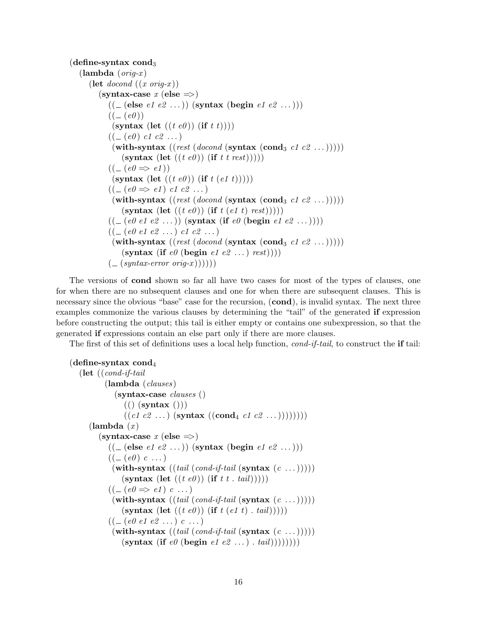```
(define-syntax cond<sub>3</sub>
    (\textbf{lambda} (orig-x))(let docond ((x \text{ orig-}x)))
             (syntax-case x (else \implies))((\text{\textcircled{-}} (\text{else } e1 \text{ } e2 \text{ } \ldots)) (\text{syntax } (\text{begin } e2 \text{ } e2 \text{ } \ldots)))((\underline{\hspace{1cm}} (e0))(syntax (let ((t \, e0)) (if t \, t))))
                  ((\_ (e0) \ c1 \ c2 \ \dots))(with-syntax ((rest (docond (syntax (cond<sub>3</sub> c1 c2 ...)))))
                        (syntax (let ((t \, e0)) (if t t rest)))))
                  ((\underline{\hspace{1cm}} (e0 \Rightarrow e1))(syntax (let ((t \, e0)) (if t \, (e1 \, t)))))
                  ((\underline{\hspace{1cm}} (e0 \Rightarrow e1) \text{ } c1 \text{ } c2 \text{ } ...)(with-syntax ((rest (docond (synthesis (cond<sub>3</sub> c1 c2 ...)))))
                         (syntax (let ((t \, e0)) (if t \, (e1 \, t) \, rest)))))
                  ((\textcolor{red}{\mathcal{L}} (e0 \textcolor{red}{e1} \textcolor{red}{e2} \textcolor{red}{...})) (\textbf{s} \textbf{y} \textbf{nt} \textbf{a} \textbf{x} (\textbf{if} \textcolor{red}{e0} (\textbf{begin} \textcolor{red}{e2} \textcolor{red}{...})))((\_ (e0 \ e1 \ e2 \ \ldots) \ c1 \ c2 \ \ldots))(with-syntax ((rest (docond (synthesis (cond<sub>3</sub> c1 c2 ...)))))
                        (syntax (if e\theta (begin e1 e2 \ldots) rest)))
                  \left( \begin{array}{c} \text{-(} \textit{syntax-error} \textit{orig-x} \text{)}\text{)}\text{)}\end{array} \right)
```
The versions of cond shown so far all have two cases for most of the types of clauses, one for when there are no subsequent clauses and one for when there are subsequent clauses. This is necessary since the obvious "base" case for the recursion,  $(cond)$ , is invalid syntax. The next three examples commonize the various clauses by determining the "tail" of the generated if expression before constructing the output; this tail is either empty or contains one subexpression, so that the generated if expressions contain an else part only if there are more clauses.

The first of this set of definitions uses a local help function,  $cond$ -if-tail, to construct the if tail:

```
(define-syntax cond<sub>4</sub>)
   (\text{let } ((\text{cond-if-tail})(lambda (clauses)(syntax-case clauses ()
                     (( ) (syntax ( )))
                     ((c1 c2 ...)(<b>syntax</b> ((<b>cond</b><sub>4</sub> c1 c2 ...)))))))(\textbf{lambda}(x))(syntax-case x (else \Rightarrow))((\text{- (else } e1 e2 \dots)) (\text{syntax (begin } e2 e2 \dots))((\underline{\hspace{1cm}} (e0) \ c \ \ldots))(with-syntax ((tail (cond-if-tail (syntax (c ...))))))(\textbf{syntax} \; (\textbf{let} \; ((t \; e0)) \; (\textbf{if} \; t \; t \; . \; tail))))((\underline{\hspace{1cm}} (e0 \Rightarrow e1) \cdot c \ldots))(with-syntax ((tail (cond-if-tail (syntax (c ...))))))(\textbf{syntax} \; (\textbf{let} \; ((t \; e0)) \; (\textbf{if} \; t \; (e1 \; t) \; . \; tail))))((\_ (e0 \ e1 \ e2 \ \ldots) \ c \ \ldots))(with-syntax ((tail (cond-if-tail (syntax (c ...))))))(syntax (if e\theta (begin e1 e2 \ldots) tail)))))))
```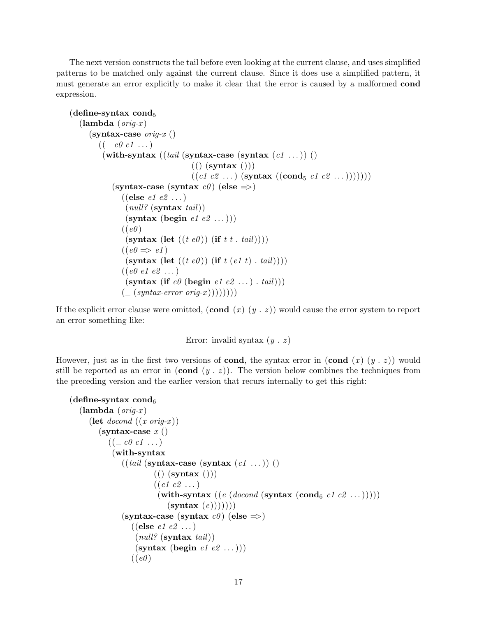The next version constructs the tail before even looking at the current clause, and uses simplified patterns to be matched only against the current clause. Since it does use a simplified pattern, it must generate an error explicitly to make it clear that the error is caused by a malformed cond expression.

```
(define-syntax cond_5)
   (\textbf{lambda} (orig-x))(syntax-case orig-x ()((\underline{\hspace{1cm}} c\theta\hspace{1cm}c1\hspace{1cm}\dots)(with-syntax ((tail (systax-case (systax (c1 ...))))
                                      (( (syntax ()))
                                      ((c1 c2 ...)(syntax ((cond_5 c1 c2 ...))))))(syntax-case (syntax c\theta) (else \Rightarrow)
                ((else e1 e2 ...))\text{(null? (syntax tail))}(syntax (begin e1 e2 ...)))
                ((e0)(syntax (let ((t \, e0)) (if t t . tail))))
                ((e0 \Rightarrow e1)(syntax (let ((t \, e0)) (if t (e1 t), tail))))
                ((e0 e1 e2 ...))(syntax (if e\theta (begin e1 e2 \ldots) . tail)))
                ((\text{Smatrix-error origin})))))
```
If the explicit error clause were omitted,  $(\text{cond } (x) (y, z))$  would cause the error system to report an error something like:

Error: invalid syntax  $(y \cdot z)$ 

However, just as in the first two versions of **cond**, the syntax error in  $(\text{cond } (x) (y, z))$  would still be reported as an error in  $(\text{cond } (y \cdot z))$ . The version below combines the techniques from the preceding version and the earlier version that recurs internally to get this right:

```
(define-syntax cond_6(\textbf{lambda} (orig-x))(let \text{docol}\ (x \text{ or } iq\text{-}x))
        (syntax-case x()((\text{\_}\text{c0 c1 \dots})(with-syntax
               ((tail (systax-case (systax (c1 ...)))(( (syntax ()))
                         ((c1 c2 ...))(with-syntax ((e (docond (syntax (cond<sub>6</sub> c1 c2 ...)))))
                             (\textbf{syntax}(e))))))(syntax-case (syntax c\theta) (else \Rightarrow)
                  ((else e1 e2 ...)
                   \text{(null? (syntax tail))}(syntax (begin e1 e2 ...)))
                  ((e0)
```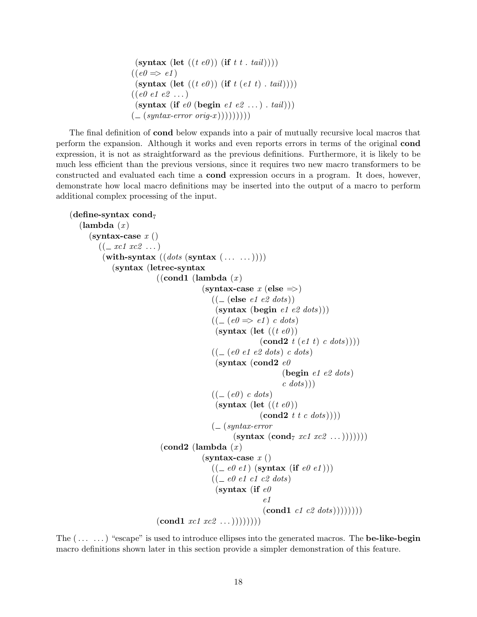```
(\textbf{symbax} \; (\textbf{let} \; ((t \; e0)) \; (\textbf{if} \; t \; t \; . \; tail))))((e0 \Rightarrow e1)(syntax (let ((t \, e0)) (if t (e1 t) . tail))))
((e0 e1 e2 ...))(syntax (if e\theta (begin e1 e2 ...). tail))
( (syntax-error orig-x )))))))))
```
The final definition of cond below expands into a pair of mutually recursive local macros that perform the expansion. Although it works and even reports errors in terms of the original cond expression, it is not as straightforward as the previous definitions. Furthermore, it is likely to be much less efficient than the previous versions, since it requires two new macro transformers to be constructed and evaluated each time a cond expression occurs in a program. It does, however, demonstrate how local macro definitions may be inserted into the output of a macro to perform additional complex processing of the input.

```
(define-syntax cond<sub>7</sub>(\text{lambda } (x))(syntax-case x()((\_xc1 xc2 ...)(\textbf{with-syntax} \ ((\textit{dots} \ (s\textbf{yntax} \ ( \dots \ ...)))(syntax (letrec-syntax
                                   ((\text{cond1 } (\text{lambda } (x)))(syntax-case x (else \Rightarrow))(( \_ (else \text{ } e1 \text{ } e2 \text{ dots}))(syntax (begin <i>e1 e2 dots</i>)))((\underline{\hspace{1cm}} (e0 \Rightarrow e1) \text{ c dots})(syntax (let ((te0)))(\textbf{cond2 } t (e1 t) c dots)))((\textcolor{teal}{\mathcal{L}} \text{ (e0 e1 e2 dots}) \text{ c dots})(syntax (cond2 e0)
                                                                                        (begin e1 e2 dots)
                                                                                        c \cdot dots))
                                                           ((\textcolor{red}{\mathcal{L}}(e0) \textcolor{red}{c} \text{ dots})(syntax (let ((te0)))(\textbf{cond2 } t \ t \ c \ dots))))( (syntax-error
                                                                    (\text{syntax } (\text{cond}_7 \ xcl \ xcl \ ...))))))\alpha (cond2 (lambda (x))
                                                       (syntax-case x()((\text{=} e0 \text{ } e1) \text{ } (\text{syntax } (\text{if } e0 \text{ } e1)))((\text{\_} ee0 \text{ } e1 \text{ } c1 \text{ } c2 \text{ } dots))(syntax (if e\theta)
                                                                                e1
                                                                                (cond1 \; c1 \; c2 \; dots))))))(\text{cond1 } x c 1 x c 2 ...))))))
```
The  $(\ldots \ldots)$  "escape" is used to introduce ellipses into the generated macros. The **be-like-begin** macro definitions shown later in this section provide a simpler demonstration of this feature.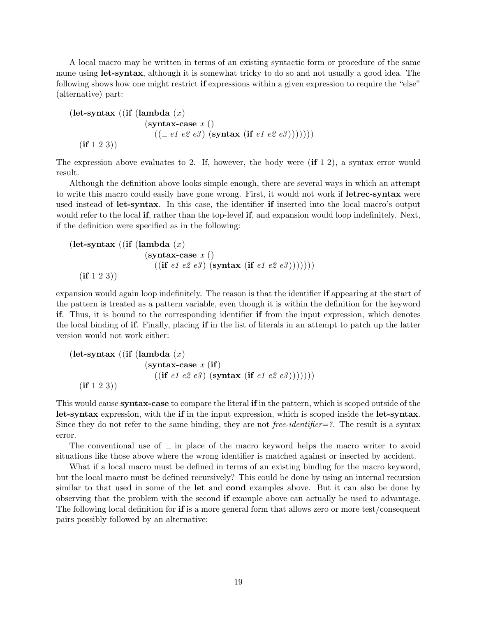A local macro may be written in terms of an existing syntactic form or procedure of the same name using let-syntax, although it is somewhat tricky to do so and not usually a good idea. The following shows how one might restrict if expressions within a given expression to require the "else" (alternative) part:

$$
\begin{array}{c}\n(\text{let-syntax } ((\text{if } (\text{lambda } (x)\\ (\text{syntax-case } x ()\\ \n((\text{-- } e1 e2 e3) ( \text{syntax } (\text{if } e1 e2 e3))))))\n)\n\end{array}
$$

The expression above evaluates to 2. If, however, the body were  $(i\mathbf{f} 1 2)$ , a syntax error would result.

Although the definition above looks simple enough, there are several ways in which an attempt to write this macro could easily have gone wrong. First, it would not work if **letrec-syntax** were used instead of let-syntax. In this case, the identifier if inserted into the local macro's output would refer to the local **if**, rather than the top-level **if**, and expansion would loop indefinitely. Next, if the definition were specified as in the following:

$$
\begin{array}{c}\n(\text{let-syntax} \ ((\text{if} \ (\text{lambda} \ (x) \\ \text{(syntax-case } x \ () \\ \text{((if } e1 \ e2 \ e3) \ (syntax \ (if e1 \ e2 \ e3))))))))\n\end{array}
$$

expansion would again loop indefinitely. The reason is that the identifier if appearing at the start of the pattern is treated as a pattern variable, even though it is within the definition for the keyword if. Thus, it is bound to the corresponding identifier if from the input expression, which denotes the local binding of if. Finally, placing if in the list of literals in an attempt to patch up the latter version would not work either:

```
(let-syntax ((if (lambda (x))
                                (syntax-case x (if))((\text{if } e1 \text{ } e2 \text{ } e3) \text{ } (\text{syntax } (\text{if } e1 \text{ } e2 \text{ } e3)))))))(if 1 2 3))
```
This would cause syntax-case to compare the literal if in the pattern, which is scoped outside of the let-syntax expression, with the if in the input expression, which is scoped inside the let-syntax. Since they do not refer to the same binding, they are not free-identifier=?. The result is a syntax error.

The conventional use of  $\equiv$  in place of the macro keyword helps the macro writer to avoid situations like those above where the wrong identifier is matched against or inserted by accident.

What if a local macro must be defined in terms of an existing binding for the macro keyword, but the local macro must be defined recursively? This could be done by using an internal recursion similar to that used in some of the let and cond examples above. But it can also be done by observing that the problem with the second if example above can actually be used to advantage. The following local definition for if is a more general form that allows zero or more test/consequent pairs possibly followed by an alternative: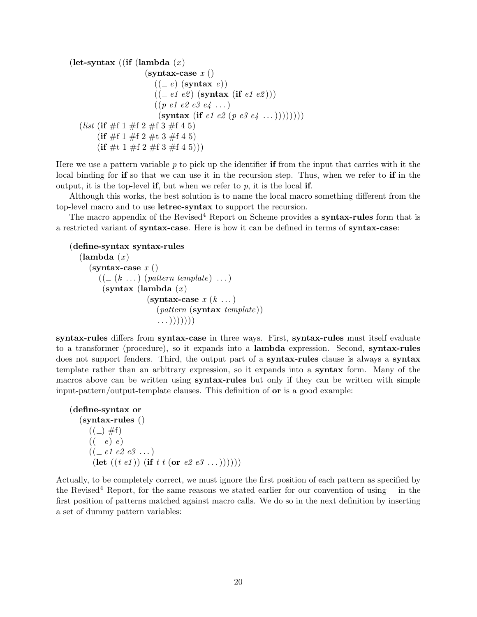```
(let-syntax ((if (lambda (x))
                      (syntax-case x()((-e) (syntax e))
                         ((-e1 e2) (syntax (if e1 e2)))
                        ((p \ e1 \ e2 \ e3 \ e4 \ ...))(syntax (if e1 e2 (p e3 e4 ...))))))))
  (list (if \#f 1 \#f 2 \#f 3 \#f 4 5)
        (if \#f 1 \#f 2 \#t 3 \#f 4 5)
        (f \# t \ 1 \# f \ 2 \# f \ 3 \# f \ 4 \ 5)))
```
Here we use a pattern variable  $p$  to pick up the identifier if from the input that carries with it the local binding for if so that we can use it in the recursion step. Thus, when we refer to if in the output, it is the top-level if, but when we refer to  $p$ , it is the local if.

Although this works, the best solution is to name the local macro something different from the top-level macro and to use letrec-syntax to support the recursion.

The macro appendix of the Revised<sup>4</sup> Report on Scheme provides a **syntax-rules** form that is a restricted variant of syntax-case. Here is how it can be defined in terms of syntax-case:

```
(define-syntax syntax-rules
```

```
(\textbf{lambda}(x))(syntax-case x()((\_ (k \dots) (pattern template) \dots))(syntax (lambda (x))(syntax-case x(k \dots))
                        (\textit{pattern}(\textbf{syntax} \textit{template}))\ldots))))))
```
syntax-rules differs from syntax-case in three ways. First, syntax-rules must itself evaluate to a transformer (procedure), so it expands into a lambda expression. Second, syntax-rules does not support fenders. Third, the output part of a **syntax-rules** clause is always a **syntax** template rather than an arbitrary expression, so it expands into a syntax form. Many of the macros above can be written using **syntax-rules** but only if they can be written with simple input-pattern/output-template clauses. This definition of or is a good example:

```
(define-syntax or
   (syntax-rules ()
      ((\_)\#f)((-e) e)((\text{--} e1 \text{ } e2 \text{ } e3 \text{ } \dots))(let ((t \t e1)) (if t t (or e2 e3 ...))))))
```
Actually, to be completely correct, we must ignore the first position of each pattern as specified by the Revised<sup>4</sup> Report, for the same reasons we stated earlier for our convention of using  $\equiv$  in the first position of patterns matched against macro calls. We do so in the next definition by inserting a set of dummy pattern variables: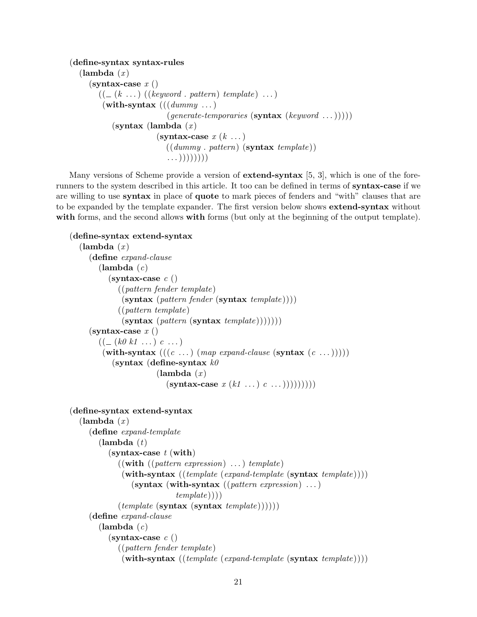```
(define-syntax syntax-rules
  (\text{lambda } (x))(syntax-case x()((\_ (k \dots) ((keyword \dots pattern) template) \dots))(with-syntax (((dummy \dots))(generate\text{-}temporaries (synthesis (keyword ...))))(syntax (lambda (x)(syntax-case x(k \dots))
                          ((dummu \cdot pattern) (syntax template))
                           \ldots))))))
```
Many versions of Scheme provide a version of **extend-syntax** [5, 3], which is one of the forerunners to the system described in this article. It too can be defined in terms of syntax-case if we are willing to use syntax in place of quote to mark pieces of fenders and "with" clauses that are to be expanded by the template expander. The first version below shows **extend-syntax** without with forms, and the second allows with forms (but only at the beginning of the output template).

```
(define-syntax extend-syntax
  (\text{lambda}(x))(define expand-clause
        (\textbf{lambda}(c))(syntax-case c()((pattern fender template)
              (syntax (pattern fender (syntax template))))((pattern template)
              (syntax (pattern (syntax template))))))(syntax-case x()(( - (k0 k1 ...) c ...))(with-syntax (((c \dots) (map\ expand\ clause\ (synthesis\ (c \dots))))(syntax (define-syntax k\theta)
                        (\text{lambda } (x))(syntax-case x (k1 ...) c ...))))))))(define-syntax extend-syntax
  (\textbf{lambda}(x))(define expand-template
        (\textbf{lambda}(t))(syntax-case t (with)((with ((pattern expression) ...) template))(\textbf{with-syntax} \ ((template (expand-template (syntax template)))(\textbf{symbax} \; (\textbf{with-symbax} \; ((\textit{pattern expression}) \; \dots))template))(template (syntax (synthesis template))))))
     (define expand-clause
        (lambda (c)(syntax-case c()((pattern fender template)
              (\textbf{with-syntax} \ ((template \ (expand\text{-}template \ (syntax \ template))))
```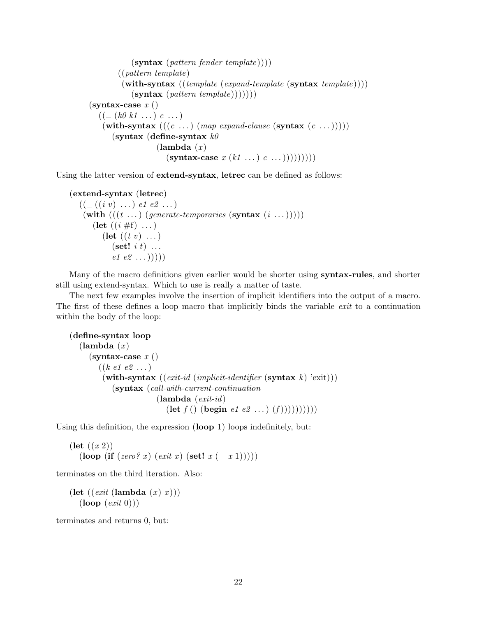```
(s\textbf{yntax} (pattern fender template))))((pattern template)
        (\textbf{with-syntax} \ ((template (expand-template (syntax template)))(syntax (pattern template)))))(syntax-case x()((\_ (k0 k1 \dots) c \dots)(with-syntax (((c \dots) (map expand-clause (syntax (c \dots)))))
      (syntax (define-syntax k\theta(\text{lambda } (x))(symbax-case x (k1 ...) c ...))))))))
```
Using the latter version of extend-syntax, letrec can be defined as follows:

```
(extend-syntax (letrec)
   ((\_ ((i \; v) \; \ldots) \; e1 \; e2 \; \ldots))(with ((t \dots) (generate-temporaries (syntax (i \dots)))))
        (let ((i \# f) ...)(\text{let } ((t \ v) \dots))(\textbf{set!} \; i \; t) \; \ldotse1 e2 ...))))
```
Many of the macro definitions given earlier would be shorter using **syntax-rules**, and shorter still using extend-syntax. Which to use is really a matter of taste.

The next few examples involve the insertion of implicit identifiers into the output of a macro. The first of these defines a loop macro that implicitly binds the variable exit to a continuation within the body of the loop:

```
(define-syntax loop
  (\text{lambda } (x))(syntax-case x()((k \ e1 \ e2 \ ...))(with-syntax ((exit-id (implicit-identifier (synthesis k) 'exit)))(syntax (call-with-current-continuation
                          (\textbf{lambda} (exit-id))(\text{let } f() (\text{begin } e1 e2 ...)(f)))))))))
```
Using this definition, the expression (loop 1) loops indefinitely, but:

```
(\text{let } ((x 2)))(loop (if (zero? x) (exit x) (set! x(-x 1))))
```
terminates on the third iteration. Also:

```
(let ((exit (lambda (x) x)))(logit\ 0))
```
terminates and returns 0, but: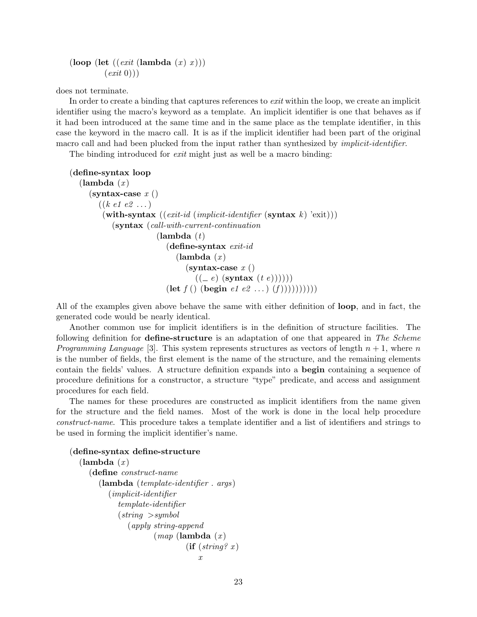(loop (let  $((exit (lambda (x) x)))$ )  $(exit\ 0))$ 

does not terminate.

In order to create a binding that captures references to *exit* within the loop, we create an implicit identifier using the macro's keyword as a template. An implicit identifier is one that behaves as if it had been introduced at the same time and in the same place as the template identifier, in this case the keyword in the macro call. It is as if the implicit identifier had been part of the original macro call and had been plucked from the input rather than synthesized by *implicit-identifier*.

The binding introduced for *exit* might just as well be a macro binding:

```
(define-syntax loop
  (\text{lambda } (x))(syntax-case x()((k \ e1 \ e2 \ ...))(with-syntax ((exit-id (implicit-identifier (syntax k) 'exit)))(syntax (call-with-current-continuation
                          (\textbf{lambda}(t))(define-syntax <i>exit-id</i>)(\textbf{lambda}(x))(syntax-case x()((e) (syntax (t e)))))
                             (\textbf{let } f() \text{ (begin } e_1 e_2 \ldots \text{ (} f)))))))))
```
All of the examples given above behave the same with either definition of loop, and in fact, the generated code would be nearly identical.

Another common use for implicit identifiers is in the definition of structure facilities. The following definition for **define-structure** is an adaptation of one that appeared in The Scheme *Programming Language* [3]. This system represents structures as vectors of length  $n + 1$ , where n is the number of fields, the first element is the name of the structure, and the remaining elements contain the fields' values. A structure definition expands into a begin containing a sequence of procedure definitions for a constructor, a structure "type" predicate, and access and assignment procedures for each field.

The names for these procedures are constructed as implicit identifiers from the name given for the structure and the field names. Most of the work is done in the local help procedure construct-name. This procedure takes a template identifier and a list of identifiers and strings to be used in forming the implicit identifier's name.

#### (define-syntax define-structure

```
(\text{lambda } (x))(define construct-name
     (lambda (template-identifier . args )
        (implicit-identifier
           template-identifier
           (strinq > symbol(apply string-append
                      (map \; (<b>lambda</b> \; (x))(\text{if } (string? x)x
```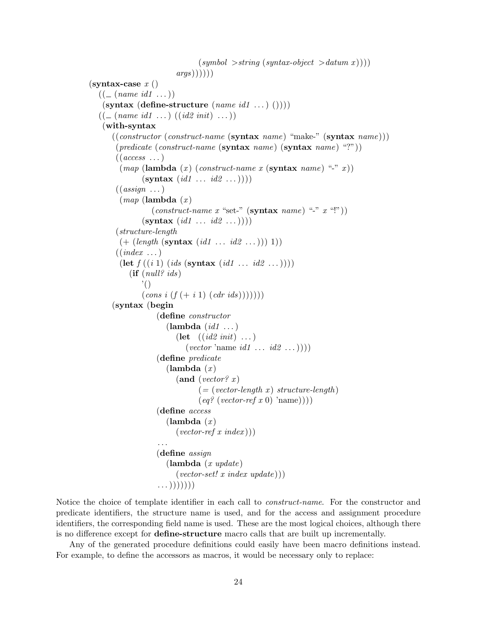```
(symbol \gt{string}(syntax-object \gt{datum} x)))arg(s)))))(syntax-case x()((\_ (name \ id1 \dots))(\text{syntax (define-structure } (name \ id1 \ ...)))))((\textcolor{red}{\mathcal{L}} \text{ (name } id1 \text{ ...}) ((id2 init) \text{ ...}))(with-syntax
       ((\text{constructor } (\text{construct-name }(\text{syntax name}) \text{ "make-" }(\text{syntax name})))(predicate (construct-name (s<b>vntax</b> name) (s<b>vntax</b> name) "<math>"
        ((access \dots))(map \; (lambda \; (x) \; (construct\text{-}name \; x \; (synthesis \; name) \; ``\; ' x))(\textbf{syntax} (id1 \ldots id2 \ldots)))((\text{assign} \dots)(map \; (<b>lambda</b> \; (x))(construct\-name x "set-" (syntax name) "-" x "!"))(\textbf{symbax} (id1 ... id2 ...)))(structure-length
          (+ (length (systax (id1 ... id2 ...))) 1))((index \dots)(\text{let } f((i\ 1) (ids (\text{syntax } (id1 ... id2 ...)))))(if (null?ids)'()
                 (cons i (f (+ i 1) (cdr ids)))))(syntax (begin
                      (define constructor
                         (\text{lambda } (id1 \dots))(let ((id2 init) ...)(vector' name id1 ... id2 ...)))(define predicate
                         (\text{lambda } (x))(and (vector? x)(=(vector-length x) structure-length)\left( \text{eq?} \left( \text{vector-ref} \ x \ 0 \right) \ \text{'name}) \right)(define access
                         (\text{lambda } (x))(vector-ref \ x \ index))). . .
                      (define assign
                         (\textbf{lambda} (x \text{ update}))(vector-set! x index update)))\ldots))))))
```
Notice the choice of template identifier in each call to construct-name. For the constructor and predicate identifiers, the structure name is used, and for the access and assignment procedure identifiers, the corresponding field name is used. These are the most logical choices, although there is no difference except for define-structure macro calls that are built up incrementally.

Any of the generated procedure definitions could easily have been macro definitions instead. For example, to define the accessors as macros, it would be necessary only to replace: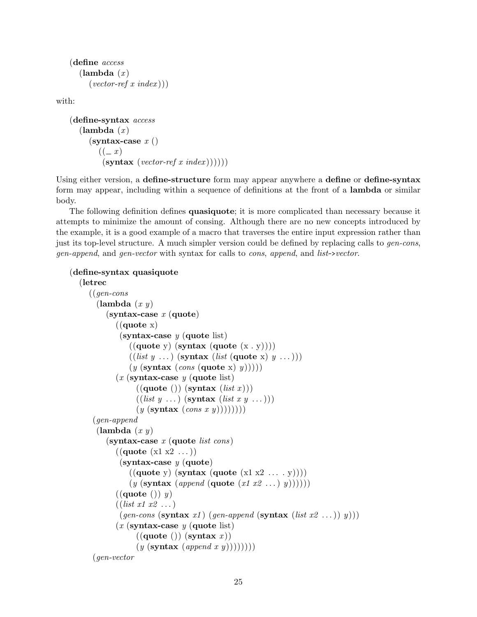```
(define access
  (\text{lambda } (x))(vector-ref x index))
```
with:

```
(define-syntax access
  (\text{lambda}(x))(syntax-case x()((-x)(s<b>yntax</b> (vector-ref x index))))))
```
Using either version, a define-structure form may appear anywhere a define or define-syntax form may appear, including within a sequence of definitions at the front of a lambda or similar body.

The following definition defines **quasiquote**; it is more complicated than necessary because it attempts to minimize the amount of consing. Although there are no new concepts introduced by the example, it is a good example of a macro that traverses the entire input expression rather than just its top-level structure. A much simpler version could be defined by replacing calls to gen-cons, gen-append, and gen-vector with syntax for calls to cons, append, and list->vector.

```
(define-syntax quasiquote
```

```
(letrec
   ((gen-cons
     (\text{lambda } (x y))(syntax-case x (quote))((\text{quote } x))(syntax-case y (quote list))((\text{quote } y) \text{ (syntax (quote } (x \cdot y))))((list y ...)(symbax (list (quote x) y ...)))(y \text{ (syntax } (cons \text{ (quote } x) y))))(x \text{ (syntax-case } y \text{ (quote list)})((\text{quote}()) (\text{syntax} (list x)))((list y ...)(symbax (list x y ...)))(y \left(\text{syntax} \left(\text{cons } x y\right)\right))))(gen-append
     (\text{lambda } (x y))(syntax-case x (quote list cons))((\text{quote } (x1 x2 ...))(syntax-case y (quote))((\text{quote } y) \text{ (syntax (quote } (x1 x2 ... y))))(y \text{ (syntax } (append \text{ (quote } (x1 x2 ...) y))))))((\text{quote}()) y)
            ((list x1 x2 ...))(gen-cons (syntax x1) (gen-append (syntax (list x2 ...)) y)))(x \text{ (syntax-case } y \text{ (quote list)})((\text{quote }()) (\text{syntax } x))(y \text{ (syntax } (append x y))))))))(gen-vector
```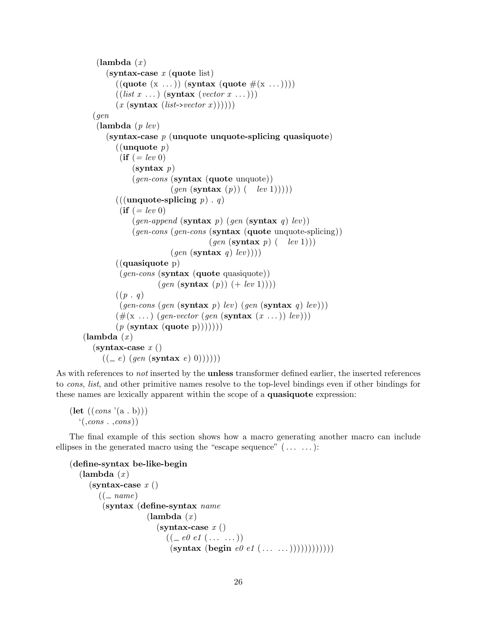```
(\text{lambda } (x))(syntax-case x (quote list)((\text{quote } (x \dots)) (\text{syntax } (\text{quote } # (x \dots))))((list x ...) (symbax (vector x ...)))(x \text{ (syntax } (list \rightarrow vector x))))))(gen
    (\textbf{lambda} (p \text{lev}))(syntax-case p (unquote unquote-splicing quasiquote)
         ((unquote p)(ii = lev 0)(s<b>v</b>ntax <math>p</math>)(qen-cons (syntax (quote unquote))
                          (gen (syntax(p)) (-lev 1))))(((unquote-splicing p). q)(\textbf{if } (= \text{lev } 0))(gen-append (syntax p) (gen (syntax q) lev))
              (gen-cons (gen-cons (s<b>yntax</b> (quote unquote-splicing))(qen (syntax p) (-lev 1)))(gen (syntax q)lev)))((quasiquote p)
          (gen-cons (syntax (quote quasiquote))
                      (qen (syntax (p)) (+ lev 1))))((p \cdot q))(qen-cons (gen (synthesis p) lev) (gen (synthesis q) lev))(\#(\mathbf{x} \dots) \ (gen-vector \ (gen \ (synthesis \ x \dots)) \ lev))))(p \text{ (syntax (quote p)))))(\text{lambda } (x))(syntax-case x()((e) (gen (syntax e) 0))))
```
As with references to *not* inserted by the **unless** transformer defined earlier, the inserted references to cons, list, and other primitive names resolve to the top-level bindings even if other bindings for these names are lexically apparent within the scope of a quasiquote expression:

```
(\text{let } ((cons '(a \cdot b)))((cons \cdot ,cons))
```
The final example of this section shows how a macro generating another macro can include ellipses in the generated macro using the "escape sequence"  $(\ldots \ldots)$ :

```
(define-syntax be-like-begin
   (\text{lambda } (x))(syntax-case x()((- name)(syntax (define-syntax name
                         (\text{lambda } (x))(syntax-case x()((\text{=} e0 \text{ } e1 \text{ } (\text{ } \ldots \text{ } \ldots))(syntax (begin e0 e1 (\ldots \ldots)))))))))))))))
```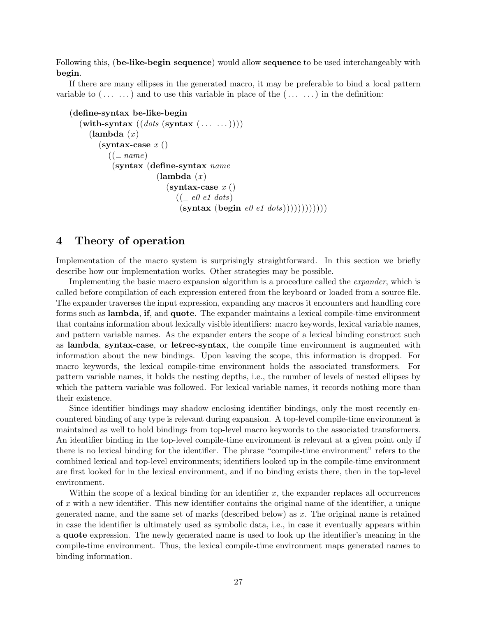Following this, (be-like-begin sequence) would allow sequence to be used interchangeably with begin.

If there are many ellipses in the generated macro, it may be preferable to bind a local pattern variable to  $(\ldots \ldots)$  and to use this variable in place of the  $(\ldots \ldots)$  in the definition:

```
(define-syntax be-like-begin
  (\textbf{with-syntax}~((\textit{dots}~(s\textbf{yntax}~(...~...))))(\text{lambda } (x))(syntax-case x()((-name)(syntax (define-syntax name
                        (\text{lambda } (x))(syntax-case x()((-e0 e1 dots)(syntax (begin e0 e1 dots))))))))))
```
# 4 Theory of operation

Implementation of the macro system is surprisingly straightforward. In this section we briefly describe how our implementation works. Other strategies may be possible.

Implementing the basic macro expansion algorithm is a procedure called the expander, which is called before compilation of each expression entered from the keyboard or loaded from a source file. The expander traverses the input expression, expanding any macros it encounters and handling core forms such as lambda, if, and quote. The expander maintains a lexical compile-time environment that contains information about lexically visible identifiers: macro keywords, lexical variable names, and pattern variable names. As the expander enters the scope of a lexical binding construct such as lambda, syntax-case, or letrec-syntax, the compile time environment is augmented with information about the new bindings. Upon leaving the scope, this information is dropped. For macro keywords, the lexical compile-time environment holds the associated transformers. For pattern variable names, it holds the nesting depths, i.e., the number of levels of nested ellipses by which the pattern variable was followed. For lexical variable names, it records nothing more than their existence.

Since identifier bindings may shadow enclosing identifier bindings, only the most recently encountered binding of any type is relevant during expansion. A top-level compile-time environment is maintained as well to hold bindings from top-level macro keywords to the associated transformers. An identifier binding in the top-level compile-time environment is relevant at a given point only if there is no lexical binding for the identifier. The phrase "compile-time environment" refers to the combined lexical and top-level environments; identifiers looked up in the compile-time environment are first looked for in the lexical environment, and if no binding exists there, then in the top-level environment.

Within the scope of a lexical binding for an identifier  $x$ , the expander replaces all occurrences of x with a new identifier. This new identifier contains the original name of the identifier, a unique generated name, and the same set of marks (described below) as  $x$ . The original name is retained in case the identifier is ultimately used as symbolic data, i.e., in case it eventually appears within a quote expression. The newly generated name is used to look up the identifier's meaning in the compile-time environment. Thus, the lexical compile-time environment maps generated names to binding information.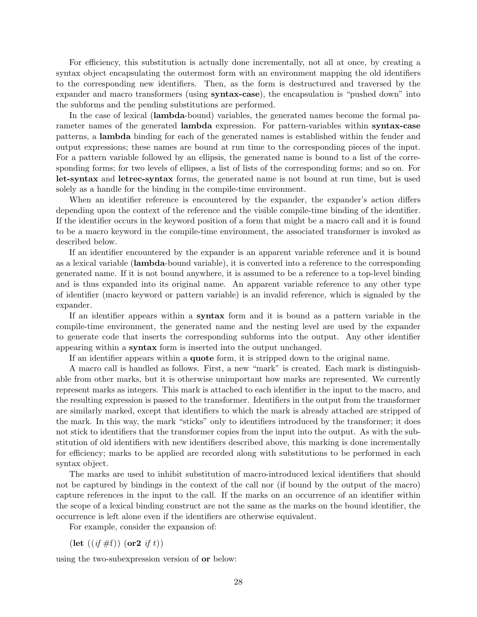For efficiency, this substitution is actually done incrementally, not all at once, by creating a syntax object encapsulating the outermost form with an environment mapping the old identifiers to the corresponding new identifiers. Then, as the form is destructured and traversed by the expander and macro transformers (using syntax-case), the encapsulation is "pushed down" into the subforms and the pending substitutions are performed.

In the case of lexical (lambda-bound) variables, the generated names become the formal parameter names of the generated **lambda** expression. For pattern-variables within **syntax-case** patterns, a lambda binding for each of the generated names is established within the fender and output expressions; these names are bound at run time to the corresponding pieces of the input. For a pattern variable followed by an ellipsis, the generated name is bound to a list of the corresponding forms; for two levels of ellipses, a list of lists of the corresponding forms; and so on. For let-syntax and letrec-syntax forms, the generated name is not bound at run time, but is used solely as a handle for the binding in the compile-time environment.

When an identifier reference is encountered by the expander, the expander's action differs depending upon the context of the reference and the visible compile-time binding of the identifier. If the identifier occurs in the keyword position of a form that might be a macro call and it is found to be a macro keyword in the compile-time environment, the associated transformer is invoked as described below.

If an identifier encountered by the expander is an apparent variable reference and it is bound as a lexical variable (lambda-bound variable), it is converted into a reference to the corresponding generated name. If it is not bound anywhere, it is assumed to be a reference to a top-level binding and is thus expanded into its original name. An apparent variable reference to any other type of identifier (macro keyword or pattern variable) is an invalid reference, which is signaled by the expander.

If an identifier appears within a syntax form and it is bound as a pattern variable in the compile-time environment, the generated name and the nesting level are used by the expander to generate code that inserts the corresponding subforms into the output. Any other identifier appearing within a syntax form is inserted into the output unchanged.

If an identifier appears within a quote form, it is stripped down to the original name.

A macro call is handled as follows. First, a new "mark" is created. Each mark is distinguishable from other marks, but it is otherwise unimportant how marks are represented. We currently represent marks as integers. This mark is attached to each identifier in the input to the macro, and the resulting expression is passed to the transformer. Identifiers in the output from the transformer are similarly marked, except that identifiers to which the mark is already attached are stripped of the mark. In this way, the mark "sticks" only to identifiers introduced by the transformer; it does not stick to identifiers that the transformer copies from the input into the output. As with the substitution of old identifiers with new identifiers described above, this marking is done incrementally for efficiency; marks to be applied are recorded along with substitutions to be performed in each syntax object.

The marks are used to inhibit substitution of macro-introduced lexical identifiers that should not be captured by bindings in the context of the call nor (if bound by the output of the macro) capture references in the input to the call. If the marks on an occurrence of an identifier within the scope of a lexical binding construct are not the same as the marks on the bound identifier, the occurrence is left alone even if the identifiers are otherwise equivalent.

For example, consider the expansion of:

(let  $((if \#f))$  (or2 if t))

using the two-subexpression version of or below: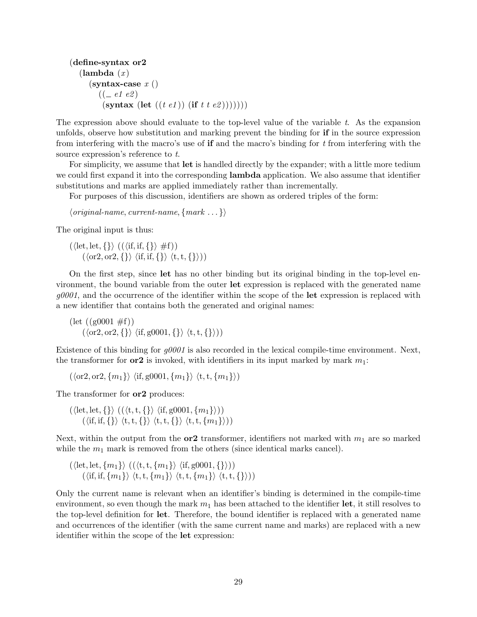```
(define-syntax or2
  (\text{lambda}(x))(syntax-case x()((-e1 e2))(syntax (let ((t \t e1)) (if t \t e2)))))))
```
The expression above should evaluate to the top-level value of the variable  $t$ . As the expansion unfolds, observe how substitution and marking prevent the binding for if in the source expression from interfering with the macro's use of **if** and the macro's binding for  $t$  from interfering with the source expression's reference to t.

For simplicity, we assume that let is handled directly by the expander; with a little more tedium we could first expand it into the corresponding **lambda** application. We also assume that identifier substitutions and marks are applied immediately rather than incrementally.

For purposes of this discussion, identifiers are shown as ordered triples of the form:

 $\langle original\text{-}name, current\text{-}name, \{mark \ldots \} \rangle$ 

The original input is thus:

 $(\langle \text{let}, \text{let}, \{\} \rangle \mid ((\langle \text{if}, \text{if}, \{\} \rangle \neq f))$  $(\langle \text{or2}, \text{or2}, \{\} \rangle \langle \text{if}, \text{if}, \{\} \rangle \langle \text{t}, \text{t}, \{\} \rangle))$ 

On the first step, since let has no other binding but its original binding in the top-level environment, the bound variable from the outer let expression is replaced with the generated name  $g0001$ , and the occurrence of the identifier within the scope of the let expression is replaced with a new identifier that contains both the generated and original names:

 $(\text{let } ((g0001 \# f))$  $(\langle \text{or2}, \text{or2}, \{\} \rangle \langle \text{if}, \text{g0001}, \{\} \rangle \langle \text{t}, \text{t}, \{\} \rangle))$ 

Existence of this binding for  $q0001$  is also recorded in the lexical compile-time environment. Next, the transformer for  $\alpha r^2$  is invoked, with identifiers in its input marked by mark  $m_1$ :

 $(\langle \text{or} 2, \text{or} 2, \{m_1\} \rangle \langle \text{if, g0001}, \{m_1\} \rangle \langle \text{t}, \text{t}, \{m_1\} \rangle)$ 

The transformer for  $or 2$  produces:

 $(\langle \text{let}, \text{let}, \{\} \rangle \ ((\langle t, t, \{\} \rangle \ \langle \text{if}, \text{g0001}, \{m_1\} \rangle))$  $(\langle \text{if, if, } \{\} \rangle \langle t, t, \{\} \rangle \langle t, t, \{\} \rangle \langle t, t, \{m_1\} \rangle))$ 

Next, within the output from the **or2** transformer, identifiers not marked with  $m_1$  are so marked while the  $m_1$  mark is removed from the others (since identical marks cancel).

 $(\langle \mathrm{let}, \mathrm{let}, \{m_1\} \rangle$   $((\langle \mathrm{t},\mathrm{t}, \{m_1\} \rangle$   $\langle \mathrm{if}, \mathrm{g}0001, \{\} \rangle))$  $(\langle \text{if, if, } \{m_1\} \rangle \langle t, t, \{m_1\} \rangle \langle t, t, \{m_1\} \rangle \langle t, t, \{m_1\} \rangle)$ 

Only the current name is relevant when an identifier's binding is determined in the compile-time environment, so even though the mark  $m_1$  has been attached to the identifier let, it still resolves to the top-level definition for let. Therefore, the bound identifier is replaced with a generated name and occurrences of the identifier (with the same current name and marks) are replaced with a new identifier within the scope of the let expression: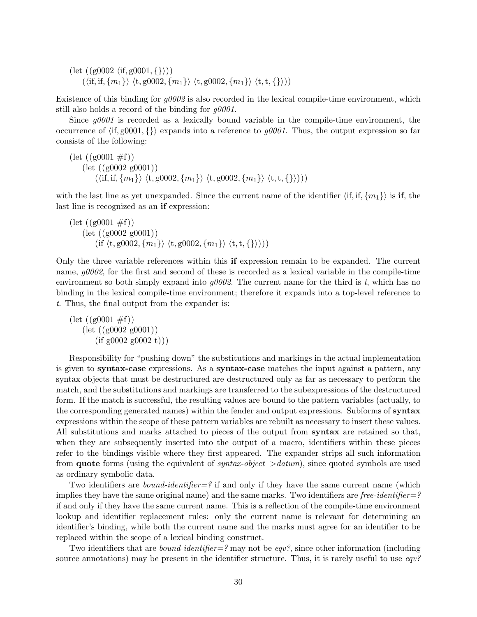$(\text{let } ((g0002 \langle \text{if, } g0001, {\{\})})$  $(\langle \text{if, if, } \{m_1\} \rangle \langle t, \text{g0002}, \{m_1\} \rangle \langle t, \text{g0002}, \{m_1\} \rangle \langle t, t, \{\} \rangle))$ 

Existence of this binding for  $g0002$  is also recorded in the lexical compile-time environment, which still also holds a record of the binding for  $g0001$ .

Since  $g0001$  is recorded as a lexically bound variable in the compile-time environment, the occurrence of  $\langle i f, g0001, \{\}\rangle$  expands into a reference to  $g0001$ . Thus, the output expression so far consists of the following:

$$
\begin{array}{l}\n\text{(let } ((g0001 \# f)) \\
\text{(let } ((g0002 g0001)) \\
\text{(iff, if, $\{m_1\}$} \ \langle t, g0002, \{m_1\} \rangle \ \langle t, g0002, \{m_1\} \rangle \ \langle t, t, \{\} \rangle)))\n\end{array}
$$

with the last line as yet unexpanded. Since the current name of the identifier  $\langle i, i, f, \{m_1\}\rangle$  is if, the last line is recognized as an if expression:

$$
\begin{array}{l} \text{(let } ((g0001 \# f)) \\ \text{(let } ((g0002 \ g0001)) \\ \text{(if } \langle t, g0002, \{m_1\} \rangle \ \langle t, g0002, \{m_1\} \rangle \ \langle t, t, \{ \} \rangle))) \end{array}
$$

Only the three variable references within this if expression remain to be expanded. The current name,  $g0002$ , for the first and second of these is recorded as a lexical variable in the compile-time environment so both simply expand into  $g0002$ . The current name for the third is t, which has no binding in the lexical compile-time environment; therefore it expands into a top-level reference to t. Thus, the final output from the expander is:

 $(\text{let } ((g0001 \# f))$  $(\text{let } ((g0002 g0001)))$  $(i f g0002 g0002 t))$ 

Responsibility for "pushing down" the substitutions and markings in the actual implementation is given to syntax-case expressions. As a syntax-case matches the input against a pattern, any syntax objects that must be destructured are destructured only as far as necessary to perform the match, and the substitutions and markings are transferred to the subexpressions of the destructured form. If the match is successful, the resulting values are bound to the pattern variables (actually, to the corresponding generated names) within the fender and output expressions. Subforms of syntax expressions within the scope of these pattern variables are rebuilt as necessary to insert these values. All substitutions and marks attached to pieces of the output from syntax are retained so that, when they are subsequently inserted into the output of a macro, identifiers within these pieces refer to the bindings visible where they first appeared. The expander strips all such information from **quote** forms (using the equivalent of *syntax-object*  $>$ *datum*), since quoted symbols are used as ordinary symbolic data.

Two identifiers are *bound-identifier*=? if and only if they have the same current name (which implies they have the same original name) and the same marks. Two identifiers are free-identifier=? if and only if they have the same current name. This is a reflection of the compile-time environment lookup and identifier replacement rules: only the current name is relevant for determining an identifier's binding, while both the current name and the marks must agree for an identifier to be replaced within the scope of a lexical binding construct.

Two identifiers that are *bound-identifier*=? may not be *eqv?*, since other information (including source annotations) may be present in the identifier structure. Thus, it is rarely useful to use  $eqv^2$